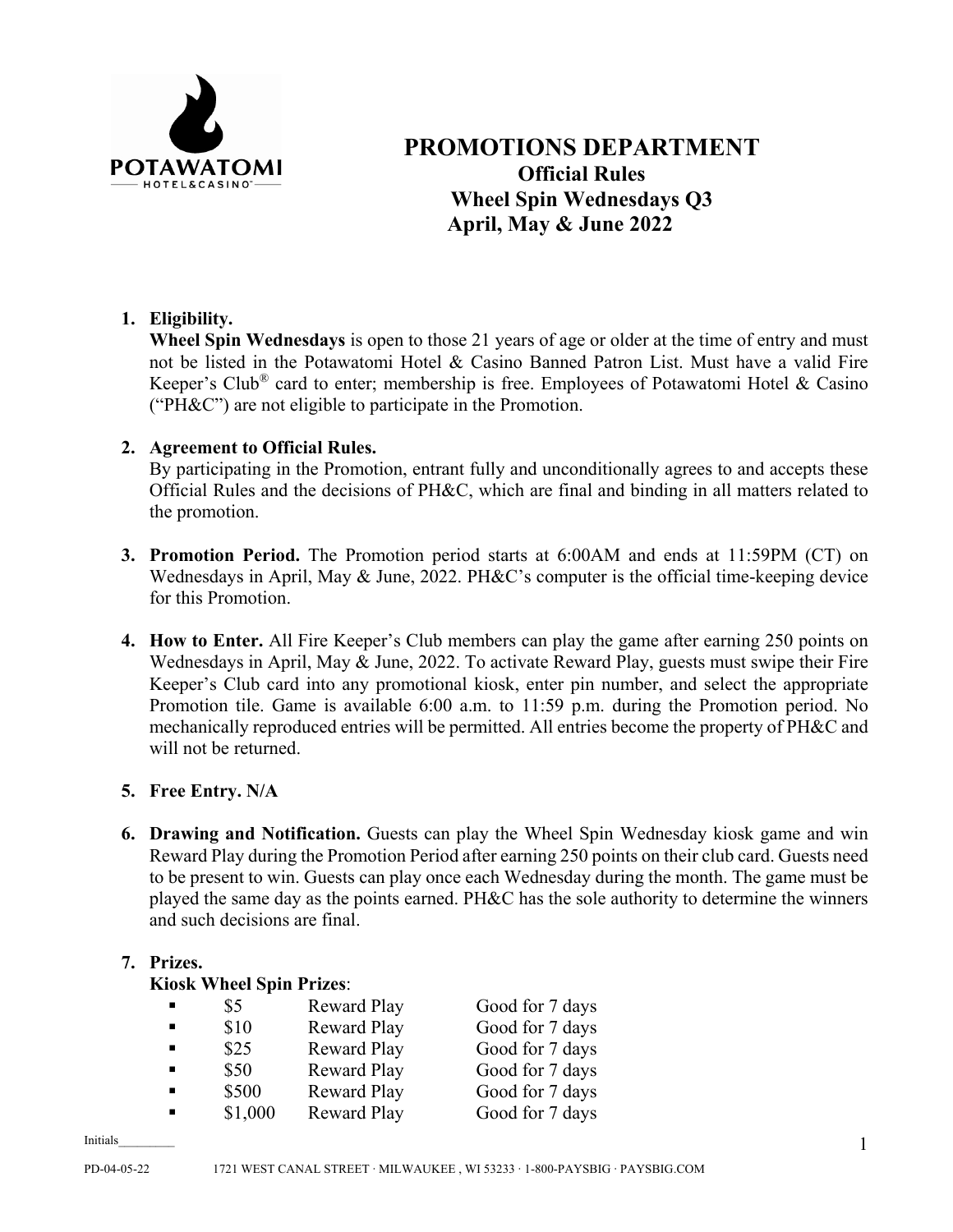

# **PROMOTIONS DEPARTMENT Official Rules Wheel Spin Wednesdays Q3 April, May & June 2022**

# **1. Eligibility.**

**Wheel Spin Wednesdays** is open to those 21 years of age or older at the time of entry and must not be listed in the Potawatomi Hotel & Casino Banned Patron List. Must have a valid Fire Keeper's Club<sup>®</sup> card to enter; membership is free. Employees of Potawatomi Hotel & Casino ("PH&C") are not eligible to participate in the Promotion.

# **2. Agreement to Official Rules.**

By participating in the Promotion, entrant fully and unconditionally agrees to and accepts these Official Rules and the decisions of PH&C, which are final and binding in all matters related to the promotion.

- **3. Promotion Period.** The Promotion period starts at 6:00AM and ends at 11:59PM (CT) on Wednesdays in April, May & June, 2022. PH&C's computer is the official time-keeping device for this Promotion.
- **4. How to Enter.** All Fire Keeper's Club members can play the game after earning 250 points on Wednesdays in April, May & June, 2022. To activate Reward Play, guests must swipe their Fire Keeper's Club card into any promotional kiosk, enter pin number, and select the appropriate Promotion tile. Game is available 6:00 a.m. to 11:59 p.m. during the Promotion period. No mechanically reproduced entries will be permitted. All entries become the property of PH&C and will not be returned.

# **5. Free Entry. N/A**

**6. Drawing and Notification.** Guests can play the Wheel Spin Wednesday kiosk game and win Reward Play during the Promotion Period after earning 250 points on their club card. Guests need to be present to win. Guests can play once each Wednesday during the month. The game must be played the same day as the points earned. PH&C has the sole authority to determine the winners and such decisions are final.

#### **7. Prizes.**

#### **Kiosk Wheel Spin Prizes**:

| \$5     | Reward Play        | Good for 7 days |
|---------|--------------------|-----------------|
| \$10    | <b>Reward Play</b> | Good for 7 days |
| \$25    | Reward Play        | Good for 7 days |
| \$50    | <b>Reward Play</b> | Good for 7 days |
| \$500   | <b>Reward Play</b> | Good for 7 days |
| \$1,000 | <b>Reward Play</b> | Good for 7 days |

Initials\_\_\_\_\_\_\_\_\_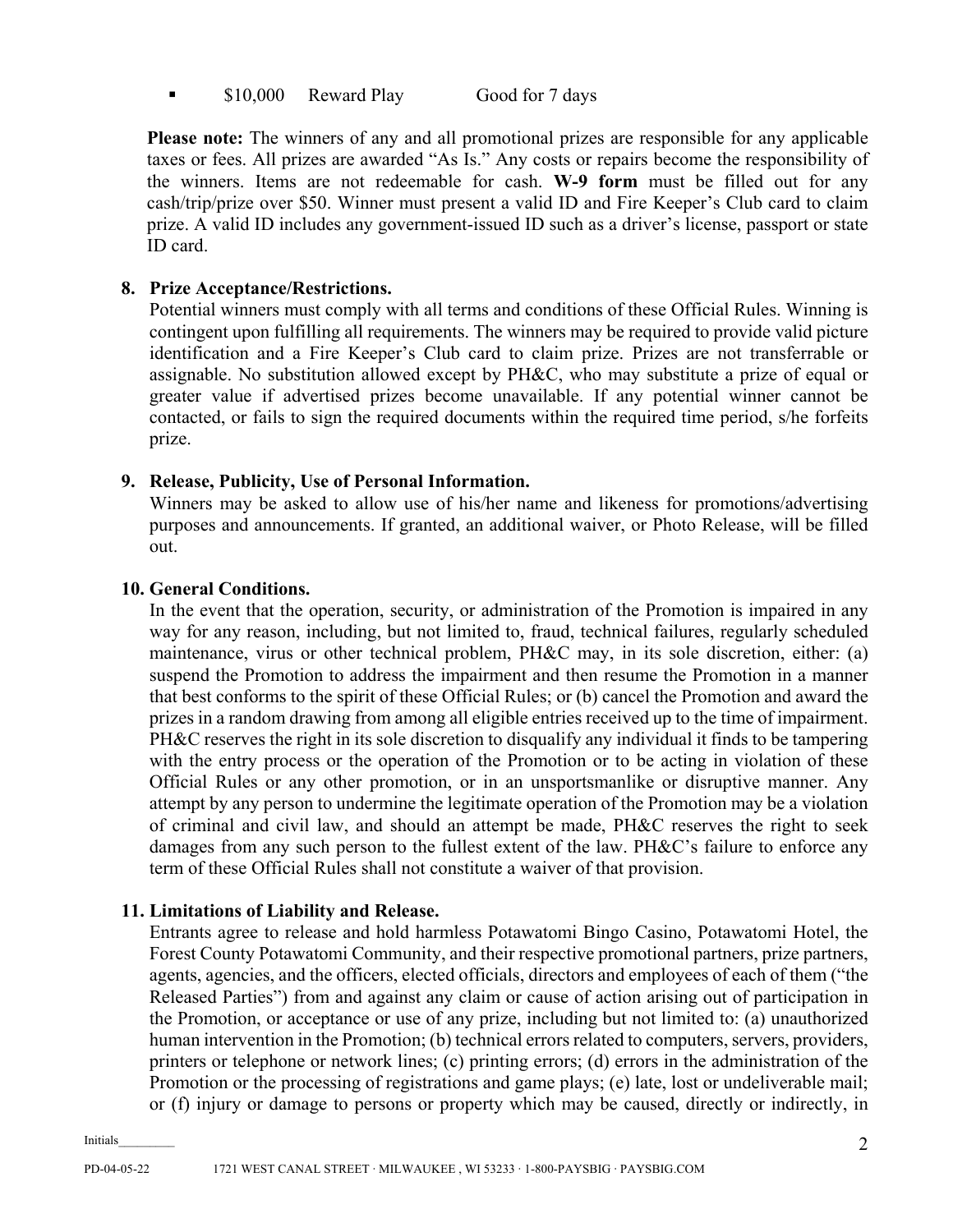**S** \$10,000 Reward Play Good for 7 days

**Please note:** The winners of any and all promotional prizes are responsible for any applicable taxes or fees. All prizes are awarded "As Is." Any costs or repairs become the responsibility of the winners. Items are not redeemable for cash. **W-9 form** must be filled out for any cash/trip/prize over \$50. Winner must present a valid ID and Fire Keeper's Club card to claim prize. A valid ID includes any government-issued ID such as a driver's license, passport or state ID card.

# **8. Prize Acceptance/Restrictions.**

Potential winners must comply with all terms and conditions of these Official Rules. Winning is contingent upon fulfilling all requirements. The winners may be required to provide valid picture identification and a Fire Keeper's Club card to claim prize. Prizes are not transferrable or assignable. No substitution allowed except by PH&C, who may substitute a prize of equal or greater value if advertised prizes become unavailable. If any potential winner cannot be contacted, or fails to sign the required documents within the required time period, s/he forfeits prize.

# **9. Release, Publicity, Use of Personal Information.**

Winners may be asked to allow use of his/her name and likeness for promotions/advertising purposes and announcements. If granted, an additional waiver, or Photo Release, will be filled out.

# **10. General Conditions.**

In the event that the operation, security, or administration of the Promotion is impaired in any way for any reason, including, but not limited to, fraud, technical failures, regularly scheduled maintenance, virus or other technical problem, PH&C may, in its sole discretion, either: (a) suspend the Promotion to address the impairment and then resume the Promotion in a manner that best conforms to the spirit of these Official Rules; or (b) cancel the Promotion and award the prizes in a random drawing from among all eligible entries received up to the time of impairment. PH&C reserves the right in its sole discretion to disqualify any individual it finds to be tampering with the entry process or the operation of the Promotion or to be acting in violation of these Official Rules or any other promotion, or in an unsportsmanlike or disruptive manner. Any attempt by any person to undermine the legitimate operation of the Promotion may be a violation of criminal and civil law, and should an attempt be made, PH&C reserves the right to seek damages from any such person to the fullest extent of the law. PH&C's failure to enforce any term of these Official Rules shall not constitute a waiver of that provision.

# **11. Limitations of Liability and Release.**

Entrants agree to release and hold harmless Potawatomi Bingo Casino, Potawatomi Hotel, the Forest County Potawatomi Community, and their respective promotional partners, prize partners, agents, agencies, and the officers, elected officials, directors and employees of each of them ("the Released Parties") from and against any claim or cause of action arising out of participation in the Promotion, or acceptance or use of any prize, including but not limited to: (a) unauthorized human intervention in the Promotion; (b) technical errors related to computers, servers, providers, printers or telephone or network lines; (c) printing errors; (d) errors in the administration of the Promotion or the processing of registrations and game plays; (e) late, lost or undeliverable mail; or (f) injury or damage to persons or property which may be caused, directly or indirectly, in